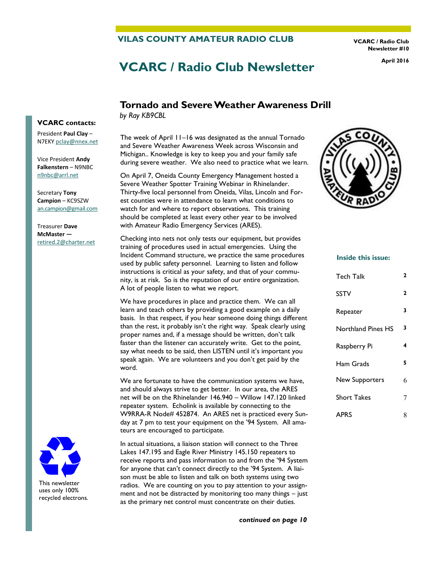#### **VILAS COUNTY AMATEUR RADIO CLUB**

**VCARC / Radio Club Newsletter #10** 

# **VCARC / Radio Club Newsletter April 2016**

## **Tornado and Severe Weather Awareness Drill**

*by Ray KB9CBL*

The week of April 11–16 was designated as the annual Tornado and Severe Weather Awareness Week across Wisconsin and Michigan.. Knowledge is key to keep you and your family safe during severe weather. We also need to practice what we learn.

On April 7, Oneida County Emergency Management hosted a Severe Weather Spotter Training Webinar in Rhinelander. Thirty-five local personnel from Oneida, Vilas, Lincoln and Forest counties were in attendance to learn what conditions to watch for and where to report observations. This training should be completed at least every other year to be involved with Amateur Radio Emergency Services (ARES).

Checking into nets not only tests our equipment, but provides training of procedures used in actual emergencies. Using the Incident Command structure, we practice the same procedures used by public safety personnel. Learning to listen and follow instructions is critical as your safety, and that of your community, is at risk. So is the reputation of our entire organization. A lot of people listen to what we report.

We have procedures in place and practice them. We can all learn and teach others by providing a good example on a daily basis. In that respect, if you hear someone doing things different than the rest, it probably isn't the right way. Speak clearly using proper names and, if a message should be written, don't talk faster than the listener can accurately write. Get to the point, say what needs to be said, then LISTEN until it's important you speak again. We are volunteers and you don't get paid by the word.

We are fortunate to have the communication systems we have, and should always strive to get better. In our area, the ARES net will be on the Rhinelander 146.940 – Willow 147.120 linked repeater system. Echolink is available by connecting to the W9RRA-R Node# 452874. An ARES net is practiced every Sunday at 7 pm to test your equipment on the '94 System. All amateurs are encouraged to participate.

In actual situations, a liaison station will connect to the Three Lakes 147.195 and Eagle River Ministry 145.150 repeaters to receive reports and pass information to and from the '94 System for anyone that can't connect directly to the '94 System. A liaison must be able to listen and talk on both systems using two radios. We are counting on you to pay attention to your assignment and not be distracted by monitoring too many things – just as the primary net control must concentrate on their duties.



#### **Inside this issue:**

| Tech Talk          | 2 |
|--------------------|---|
| SSTV               | 2 |
| Repeater           | 3 |
| Northland Pines HS | 3 |
| Raspberry Pi       | 4 |
| Ham Grads          | 5 |
| New Supporters     | 6 |
| <b>Short Takes</b> | 7 |
| <b>APRS</b>        | 8 |

#### **VCARC contacts:**

President **Paul Clay** – N7EKY [pclay@nnex.net](mailto:pclay@nnex.net)

Vice President **Andy Falkenstern** – N9NBC [n9nbc@arrl.net](mailto:n9nbc@arrl.net)

Secretary **Tony Campion** – KC9SZW [an.campion@gmail.com](mailto:an.campion@gmail.com)

Treasurer **Dave McMaster**  [retired.2@charter.net](mailto:retired.2@charter.net)



This newsletter uses only 100% recycled electrons.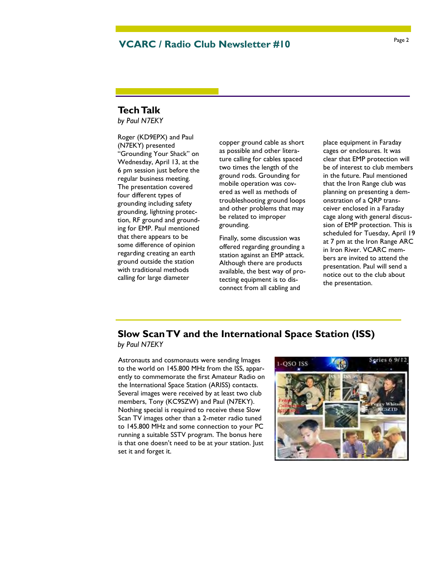## Page 2 **VCARC / Radio Club Newsletter #10**

### **Tech Talk**

*by Paul N7EKY*

Roger (KD9EPX) and Paul (N7EKY) presented "Grounding Your Shack" on Wednesday, April 13, at the 6 pm session just before the regular business meeting. The presentation covered four different types of grounding including safety grounding, lightning protection, RF ground and grounding for EMP. Paul mentioned that there appears to be some difference of opinion regarding creating an earth ground outside the station with traditional methods calling for large diameter

copper ground cable as short as possible and other literature calling for cables spaced two times the length of the ground rods. Grounding for mobile operation was covered as well as methods of troubleshooting ground loops and other problems that may be related to improper grounding.

Finally, some discussion was offered regarding grounding a station against an EMP attack. Although there are products available, the best way of protecting equipment is to disconnect from all cabling and

place equipment in Faraday cages or enclosures. It was clear that EMP protection will be of interest to club members in the future. Paul mentioned that the Iron Range club was planning on presenting a demonstration of a QRP transceiver enclosed in a Faraday cage along with general discussion of EMP protection. This is scheduled for Tuesday, April 19 at 7 pm at the Iron Range ARC in Iron River. VCARC members are invited to attend the presentation. Paul will send a notice out to the club about the presentation.

## **Slow Scan TV and the International Space Station (ISS)**

*by Paul N7EKY*

Astronauts and cosmonauts were sending Images to the world on 145.800 MHz from the ISS, apparently to commemorate the first Amateur Radio on the International Space Station (ARISS) contacts. Several images were received by at least two club members, Tony (KC9SZW) and Paul (N7EKY). Nothing special is required to receive these Slow Scan TV images other than a 2-meter radio tuned to 145.800 MHz and some connection to your PC running a suitable SSTV program. The bonus here is that one doesn't need to be at your station. Just set it and forget it.

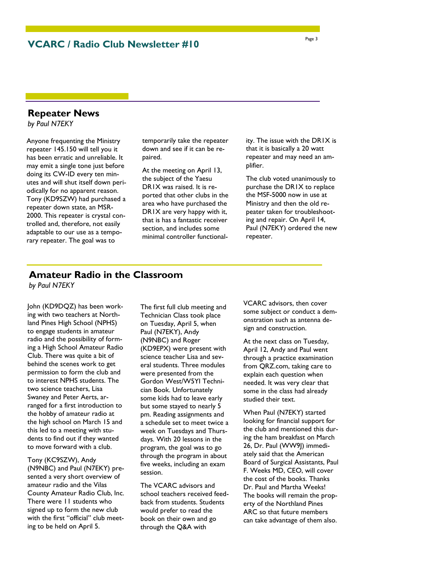**VCARC / Radio Club Newsletter #10** 

#### **Repeater News**

*by Paul N7EKY*

Anyone frequenting the Ministry repeater 145.150 will tell you it has been erratic and unreliable. It may emit a single tone just before doing its CW-ID every ten minutes and will shut itself down periodically for no apparent reason. Tony (KD9SZW) had purchased a repeater down state, an MSR-2000. This repeater is crystal controlled and, therefore, not easily adaptable to our use as a temporary repeater. The goal was to

temporarily take the repeater down and see if it can be repaired.

At the meeting on April 13, the subject of the Yaesu DR1X was raised. It is reported that other clubs in the area who have purchased the DR1X are very happy with it, that is has a fantastic receiver section, and includes some minimal controller functionality. The issue with the DR1X is that it is basically a 20 watt repeater and may need an amplifier.

The club voted unanimously to purchase the DR1X to replace the MSF-5000 now in use at Ministry and then the old repeater taken for troubleshooting and repair. On April 14, Paul (N7EKY) ordered the new repeater.

## **Amateur Radio in the Classroom**

*by Paul N7EKY*

John (KD9DQZ) has been working with two teachers at Northland Pines High School (NPHS) to engage students in amateur radio and the possibility of forming a High School Amateur Radio Club. There was quite a bit of behind the scenes work to get permission to form the club and to interest NPHS students. The two science teachers, Lisa Swaney and Peter Aerts, arranged for a first introduction to the hobby of amateur radio at the high school on March 15 and this led to a meeting with students to find out if they wanted to move forward with a club.

Tony (KC9SZW), Andy (N9NBC) and Paul (N7EKY) presented a very short overview of amateur radio and the Vilas County Amateur Radio Club, Inc. There were 11 students who signed up to form the new club with the first "official" club meeting to be held on April 5.

The first full club meeting and Technician Class took place on Tuesday, April 5, when Paul (N7EKY), Andy (N9NBC) and Roger (KD9EPX) were present with science teacher Lisa and several students. Three modules were presented from the Gordon West/W5YI Technician Book. Unfortunately some kids had to leave early but some stayed to nearly 5 pm. Reading assignments and a schedule set to meet twice a week on Tuesdays and Thursdays. With 20 lessons in the program, the goal was to go through the program in about five weeks, including an exam session.

The VCARC advisors and school teachers received feedback from students. Students would prefer to read the book on their own and go through the Q&A with

VCARC advisors, then cover some subject or conduct a demonstration such as antenna design and construction.

At the next class on Tuesday, April 12, Andy and Paul went through a practice examination from QRZ.com, taking care to explain each question when needed. It was very clear that some in the class had already studied their text.

When Paul (N7EKY) started looking for financial support for the club and mentioned this during the ham breakfast on March 26, Dr. Paul (WW9J) immediately said that the American Board of Surgical Assistants, Paul F. Weeks MD, CEO, will cover the cost of the books. Thanks Dr. Paul and Martha Weeks! The books will remain the property of the Northland Pines ARC so that future members can take advantage of them also.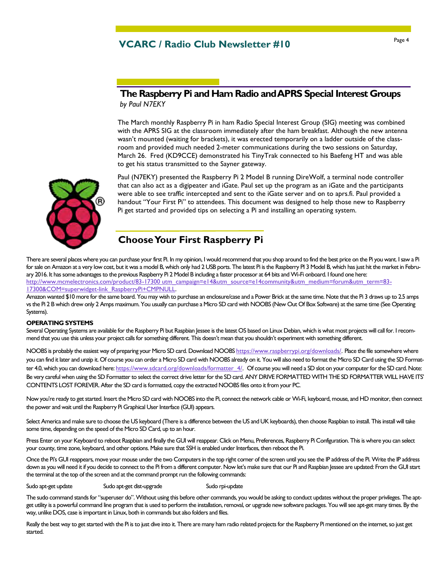## Page 4 **VCARC / Radio Club Newsletter #10**

## **The Raspberry Pi and Ham Radio and APRS Special Interest Groups**  *by Paul N7EKY*

The March monthly Raspberry Pi in ham Radio Special Interest Group (SIG) meeting was combined with the APRS SIG at the classroom immediately after the ham breakfast. Although the new antenna wasn't mounted (waiting for brackets), it was erected temporarily on a ladder outside of the classroom and provided much needed 2-meter communications during the two sessions on Saturday, March 26. Fred (KD9CCE) demonstrated his TinyTrak connected to his Baefeng HT and was able to get his status transmitted to the Sayner gateway.



Paul (N7EKY) presented the Raspberry Pi 2 Model B running DireWolf, a terminal node controller that can also act as a digipeater and iGate. Paul set up the program as an iGate and the participants were able to see traffic intercepted and sent to the iGate server and on to aprs.fi. Paul provided a handout "Your First Pi" to attendees. This document was designed to help those new to Raspberry Pi get started and provided tips on selecting a Pi and installing an operating system.

## **Choose Your First Raspberry Pi**

There are several places where you can purchase your first Pi. In my opinion, I would recommend that you shop around to find the best price on the Pi you want. I saw a Pi for sale on Amazon at a very low cost, but it was a model B, which only had 2 USB ports. The latest Pi is the Raspberry PI 3 Model B, which has just hit the market in February 2016. It has some advantages to the previous Raspberry Pi 2 Model B including a faster processor at 64 bits and Wi-Fi onboard. I found one here: [http://www.mcmelectronics.com/product/83-17300 utm\\_campaign=e14&utm\\_source=e14community&utm\\_medium=forum&utm\\_term=83-](http://www.mcmelectronics.com/product/83-17300?utm_campaign=e14&utm_source=e14community&utm_medium=forum&utm_term=83-17300&COM=superwidget-link_RaspberryPi+CMPNULL) [17300&COM=superwidget-link\\_RaspberryPi+CMPNULL.](http://www.mcmelectronics.com/product/83-17300?utm_campaign=e14&utm_source=e14community&utm_medium=forum&utm_term=83-17300&COM=superwidget-link_RaspberryPi+CMPNULL)

Amazon wanted \$10 more for the same board. You may wish to purchase an enclosure/case and a Power Brick at the same time. Note that the Pi 3 draws up to 2.5 amps vs the Pi 2 B which drew only 2 Amps maximum. You usually can purchase a Micro SD card with NOOBS (New Out Of Box Software) at the same time (See Operating Systems).

#### **OPERATING SYSTEMS**

Several Operating Systems are available for the Raspberry Pi but Raspbian Jessee is the latest OS based on Linux Debian, which is what most projects will call for. I recommend that you use this unless your project calls for something different. This doesn't mean that you shouldn't experiment with something different.

NOOBS is probably the easiest way of preparing your Micro SD card. Download NOOBS [https://www.raspberrypi.org/downloads/.](https://www.raspberrypi.org/downloads/) Place the file somewhere where you can find it later and unzip it. Of course you can order a Micro SD card with NOOBS already on it. You will also need to format the Micro SD Card using the SD Formatter 4.0, which you can download here: [https://www.sdcard.org/downloads/formatter\\_4/.](https://www.sdcard.org/downloads/formatter_4/) Of course you will need a SD slot on your computer for the SD card. Note: Be very careful when using the SD Formatter to select the correct drive letter for the SD card. ANY DRIVE FORMATTED WITH THE SD FORMATTER WILL HAVE ITS' CONTENTS LOST FOREVER. After the SD card is formatted, copy the extracted NOOBS files onto it from your PC.

Now you're ready to get started. Insert the Micro SD card with NOOBS into the Pi, connect the network cable or Wi-Fi, keyboard, mouse, and HD monitor, then connect the power and wait until the Raspberry Pi Graphical User Interface (GUI) appears.

Select America and make sure to choose the US keyboard (There is a difference between the US and UK keyboards), then choose Raspbian to install. This install will take some time, depending on the speed of the Micro SD Card, up to an hour.

Press Enter on your Keyboard to reboot Raspbian and finally the GUI will reappear. Click on Menu, Preferences, Raspberry Pi Configuration. This is where you can select your county, time zone, keyboard, and other options. Make sure that SSH is enabled under Interfaces, then reboot the Pi.

Once the Pi's GUI reappears, move your mouse under the two Computers in the top right corner of the screen until you see the IP address of the Pi. Write the IP address down as you will need it if you decide to connect to the Pi from a different computer. Now let's make sure that our Pi and Raspbian Jessee are updated: From the GUI start the terminal at the top of the screen and at the command prompt run the following commands:

Sudo apt-get update Sudo apt-get dist-upgrade Sudo rpi-update

The sudo command stands for "superuser do". Without using this before other commands, you would be asking to conduct updates without the proper privileges. The aptget utility is a powerful command line program that is used to perform the installation, removal, or upgrade new software packages. You will see apt-get many times. By the way, unlike DOS, case is important in Linux, both in commands but also folders and files.

Really the best way to get started with the Pi is to just dive into it. There are many ham radio related projects for the Raspberry Pi mentioned on the internet, so just get started.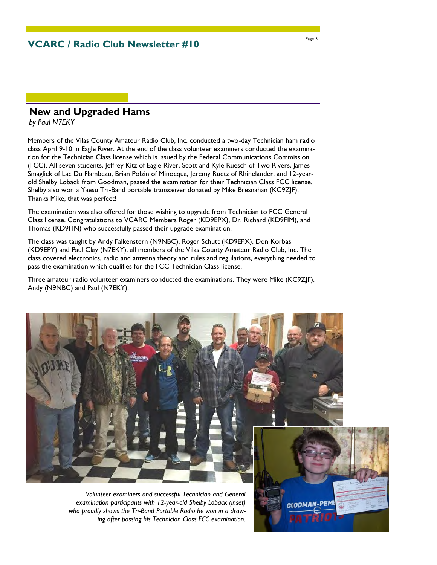## **New and Upgraded Hams**

*by Paul N7EKY*

Members of the Vilas County Amateur Radio Club, Inc. conducted a two-day Technician ham radio class April 9-10 in Eagle River. At the end of the class volunteer examiners conducted the examination for the Technician Class license which is issued by the Federal Communications Commission (FCC). All seven students, Jeffrey Kitz of Eagle River, Scott and Kyle Ruesch of Two Rivers, James Smaglick of Lac Du Flambeau, Brian Polzin of Minocqua, Jeremy Ruetz of Rhinelander, and 12-yearold Shelby Loback from Goodman, passed the examination for their Technician Class FCC license. Shelby also won a Yaesu Tri-Band portable transceiver donated by Mike Bresnahan (KC9ZJF). Thanks Mike, that was perfect!

The examination was also offered for those wishing to upgrade from Technician to FCC General Class license. Congratulations to VCARC Members Roger (KD9EPX), Dr. Richard (KD9FIM), and Thomas (KD9FIN) who successfully passed their upgrade examination.

The class was taught by Andy Falkenstern (N9NBC), Roger Schutt (KD9EPX), Don Korbas (KD9EPY) and Paul Clay (N7EKY), all members of the Vilas County Amateur Radio Club, Inc. The class covered electronics, radio and antenna theory and rules and regulations, everything needed to pass the examination which qualifies for the FCC Technician Class license.

Three amateur radio volunteer examiners conducted the examinations. They were Mike (KC9ZJF), Andy (N9NBC) and Paul (N7EKY).



*Volunteer examiners and successful Technician and General examination participants with 12-year-old Shelby Loback (inset) who proudly shows the Tri-Band Portable Radio he won in a drawing after passing his Technician Class FCC examination.*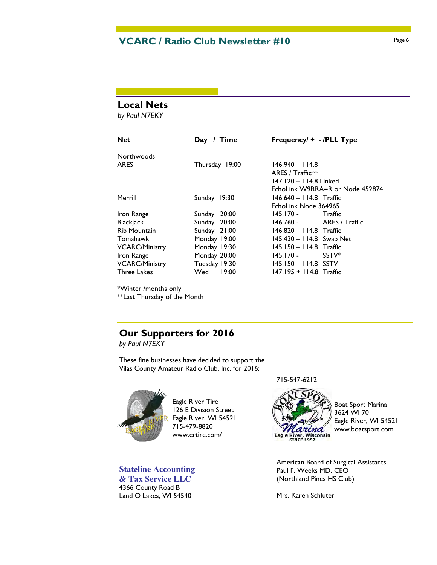## **VCARC / Radio Club Newsletter #10** Page 6

#### **Local Nets**

*by Paul N7EKY*

| <b>Net</b>            | Day / Time      | Frequency/ + - /PLL Type        |  |
|-----------------------|-----------------|---------------------------------|--|
| Northwoods            |                 |                                 |  |
| <b>ARES</b>           | Thursday 19:00  | $146.940 - 114.8$               |  |
|                       |                 | ARES / $Traffic**$              |  |
|                       |                 | 147.120 - 114.8 Linked          |  |
|                       |                 | EchoLink W9RRA=R or Node 452874 |  |
| Merrill               | Sunday 19:30    | $146.640 - 114.8$ Traffic       |  |
|                       |                 | EchoLink Node 364965            |  |
| Iron Range            | 20:00<br>Sunday | 145.170 -<br>Traffic            |  |
| Blackjack             | Sunday 20:00    | $146.760 - ARES / Traffic$      |  |
| <b>Rib Mountain</b>   | Sunday 21:00    | 146.820 - 114.8 Traffic         |  |
| Tomahawk              | Monday 19:00    | 145.430 - 114.8 Swap Net        |  |
| <b>VCARC/Ministry</b> | Monday 19:30    | 145.150 - 114.8 Traffic         |  |
| Iron Range            | Monday 20:00    | $145.170 -$<br>SSTV*            |  |
| <b>VCARC/Ministry</b> | Tuesday 19:30   | $145.150 - 114.8$ SSTV          |  |
| <b>Three Lakes</b>    | Wed<br>19:00    | 147.195 + 114.8 Traffic         |  |

\*Winter /months only

\*\*Last Thursday of the Month

## **Our Supporters for 2016**

*by Paul N7EKY*

These fine businesses have decided to support the Vilas County Amateur Radio Club, Inc. for 2016:



Eagle River Tire 126 E Division Street Eagle River, WI 54521 715-479-8820 www.ertire.com/

## **Stateline Accounting**

**& Tax Service LLC** 4366 County Road B Land O Lakes, WI 54540

#### 715-547-6212



Boat Sport Marina 3624 WI 70 Eagle River, WI 54521 www.boatsport.com

American Board of Surgical Assistants Paul F. Weeks MD, CEO (Northland Pines HS Club)

Mrs. Karen Schluter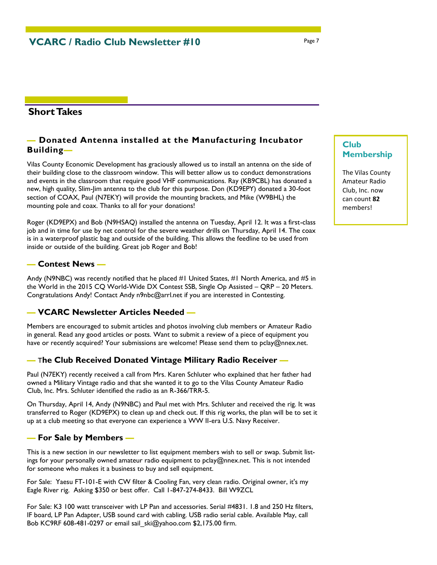## **Short Takes**

## *—* **Donated Antenna installed at the Manufacturing Incubator Building***—*

Vilas County Economic Development has graciously allowed us to install an antenna on the side of their building close to the classroom window. This will better allow us to conduct demonstrations and events in the classroom that require good VHF communications. Ray (KB9CBL) has donated a new, high quality, Slim-Jim antenna to the club for this purpose. Don (KD9EPY) donated a 30-foot section of COAX, Paul (N7EKY) will provide the mounting brackets, and Mike (W9BHL) the mounting pole and coax. Thanks to all for your donations!

Roger (KD9EPX) and Bob (N9HSAQ) installed the antenna on Tuesday, April 12. It was a first-class job and in time for use by net control for the severe weather drills on Thursday, April 14. The coax is in a waterproof plastic bag and outside of the building. This allows the feedline to be used from inside or outside of the building. Great job Roger and Bob!

#### **— Contest News —**

Andy (N9NBC) was recently notified that he placed #1 United States, #1 North America, and #5 in the World in the 2015 CQ World-Wide DX Contest SSB, Single Op Assisted – QRP – 20 Meters. Congratulations Andy! Contact Andy n9nbc@arrl.net if you are interested in Contesting.

#### **— VCARC Newsletter Articles Needed —**

Members are encouraged to submit articles and photos involving club members or Amateur Radio in general. Read any good articles or posts. Want to submit a review of a piece of equipment you have or recently acquired? Your submissions are welcome! Please send them to pclay@nnex.net.

#### **—** T**he Club Received Donated Vintage Military Radio Receiver —**

Paul (N7EKY) recently received a call from Mrs. Karen Schluter who explained that her father had owned a Military Vintage radio and that she wanted it to go to the Vilas County Amateur Radio Club, Inc. Mrs. Schluter identified the radio as an R-366/TRR-5.

On Thursday, April 14, Andy (N9NBC) and Paul met with Mrs. Schluter and received the rig. It was transferred to Roger (KD9EPX) to clean up and check out. If this rig works, the plan will be to set it up at a club meeting so that everyone can experience a WW II-era U.S. Navy Receiver.

#### **— For Sale by Members —**

This is a new section in our newsletter to list equipment members wish to sell or swap. Submit listings for your personally owned amateur radio equipment to pclay@nnex.net. This is not intended for someone who makes it a business to buy and sell equipment.

For Sale: Yaesu FT-101-E with CW filter & Cooling Fan, very clean radio. Original owner, it's my Eagle River rig. Asking \$350 or best offer. Call 1-847-274-8433. Bill W9ZCL

For Sale: K3 100 watt transceiver with LP Pan and accessories. Serial #4831. 1.8 and 250 Hz filters, IF board, LP Pan Adapter, USB sound card with cabling. USB radio serial cable. Available May, call Bob KC9RF 608-481-0297 or email sail\_ski@yahoo.com \$2,175.00 firm.

## **Club Membership**

The Vilas County Amateur Radio Club, Inc. now can count **82** members!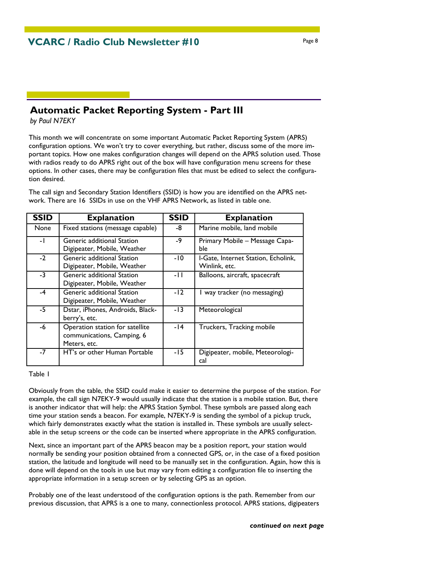## **Automatic Packet Reporting System - Part III**

*by Paul N7EKY*

This month we will concentrate on some important Automatic Packet Reporting System (APRS) configuration options. We won't try to cover everything, but rather, discuss some of the more important topics. How one makes configuration changes will depend on the APRS solution used. Those with radios ready to do APRS right out of the box will have configuration menu screens for these options. In other cases, there may be configuration files that must be edited to select the configuration desired.

The call sign and Secondary Station Identifiers (SSID) is how you are identified on the APRS network. There are 16 SSIDs in use on the VHF APRS Network, as listed in table one.

| <b>SSID</b> | <b>Explanation</b>                                                            | <b>SSID</b> | <b>Explanation</b>                                   |
|-------------|-------------------------------------------------------------------------------|-------------|------------------------------------------------------|
| None        | Fixed stations (message capable)                                              | -8          | Marine mobile, land mobile                           |
| $-1$        | Generic additional Station<br>Digipeater, Mobile, Weather                     | -9          | Primary Mobile - Message Capa-<br>ble                |
| $-2$        | Generic additional Station<br>Digipeater, Mobile, Weather                     | -10         | I-Gate, Internet Station, Echolink,<br>Winlink, etc. |
| $-3$        | Generic additional Station<br>Digipeater, Mobile, Weather                     | -11         | Balloons, aircraft, spacecraft                       |
| $-4$        | Generic additional Station<br>Digipeater, Mobile, Weather                     | $-12$       | I way tracker (no messaging)                         |
| $-5$        | Dstar, iPhones, Androids, Black-<br>berry's, etc.                             | $-13$       | Meteorological                                       |
| -6          | Operation station for satellite<br>communications, Camping, 6<br>Meters, etc. | -14         | Truckers, Tracking mobile                            |
| $-7$        | HT's or other Human Portable                                                  | -15         | Digipeater, mobile, Meteorologi-<br>cal              |

Table 1

Obviously from the table, the SSID could make it easier to determine the purpose of the station. For example, the call sign N7EKY-9 would usually indicate that the station is a mobile station. But, there is another indicator that will help: the APRS Station Symbol. These symbols are passed along each time your station sends a beacon. For example, N7EKY-9 is sending the symbol of a pickup truck, which fairly demonstrates exactly what the station is installed in. These symbols are usually selectable in the setup screens or the code can be inserted where appropriate in the APRS configuration.

Next, since an important part of the APRS beacon may be a position report, your station would normally be sending your position obtained from a connected GPS, or, in the case of a fixed position station, the latitude and longitude will need to be manually set in the configuration. Again, how this is done will depend on the tools in use but may vary from editing a configuration file to inserting the appropriate information in a setup screen or by selecting GPS as an option.

Probably one of the least understood of the configuration options is the path. Remember from our previous discussion, that APRS is a one to many, connectionless protocol. APRS stations, digipeaters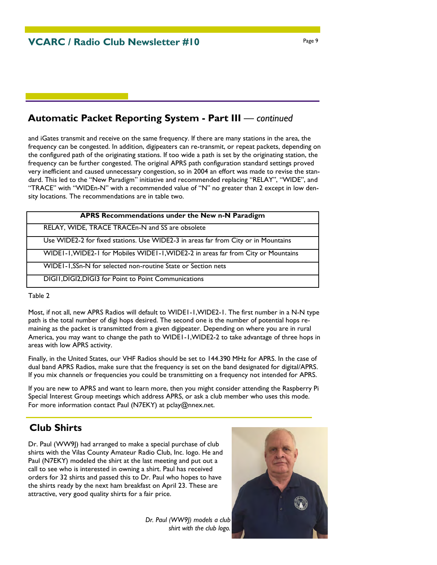## **Automatic Packet Reporting System - Part III** — *continued*

and iGates transmit and receive on the same frequency. If there are many stations in the area, the frequency can be congested. In addition, digipeaters can re-transmit, or repeat packets, depending on the configured path of the originating stations. If too wide a path is set by the originating station, the frequency can be further congested. The original APRS path configuration standard settings proved very inefficient and caused unnecessary congestion, so in 2004 an effort was made to revise the standard. This led to the "New Paradigm" initiative and recommended replacing "RELAY", "WIDE", and "TRACE" with "WIDEn-N" with a recommended value of "N" no greater than 2 except in low density locations. The recommendations are in table two.

| APRS Recommendations under the New n-N Paradigm                                    |
|------------------------------------------------------------------------------------|
| RELAY, WIDE, TRACE TRACEn-N and SS are obsolete                                    |
| Use WIDE2-2 for fixed stations. Use WIDE2-3 in areas far from City or in Mountains |
| WIDEI-I, WIDE2-I for Mobiles WIDEI-I, WIDE2-2 in areas far from City or Mountains  |
| WIDEI-I,SSn-N for selected non-routine State or Section nets                       |
| DIGII, DIGI2, DIGI3 for Point to Point Communications                              |

Table 2

Most, if not all, new APRS Radios will default to WIDE1-1,WIDE2-1. The first number in a N-N type path is the total number of digi hops desired. The second one is the number of potential hops remaining as the packet is transmitted from a given digipeater. Depending on where you are in rural America, you may want to change the path to WIDE1-1,WIDE2-2 to take advantage of three hops in areas with low APRS activity.

Finally, in the United States, our VHF Radios should be set to 144.390 MHz for APRS. In the case of dual band APRS Radios, make sure that the frequency is set on the band designated for digital/APRS. If you mix channels or frequencies you could be transmitting on a frequency not intended for APRS.

If you are new to APRS and want to learn more, then you might consider attending the Raspberry Pi Special Interest Group meetings which address APRS, or ask a club member who uses this mode. For more information contact Paul (N7EKY) at pclay@nnex.net.

## **Club Shirts**

Dr. Paul (WW9I) had arranged to make a special purchase of club shirts with the Vilas County Amateur Radio Club, Inc. logo. He and Paul (N7EKY) modeled the shirt at the last meeting and put out a call to see who is interested in owning a shirt. Paul has received orders for 32 shirts and passed this to Dr. Paul who hopes to have the shirts ready by the next ham breakfast on April 23. These are attractive, very good quality shirts for a fair price.

> *Dr. Paul (WW9J) models a club shirt with the club logo.*